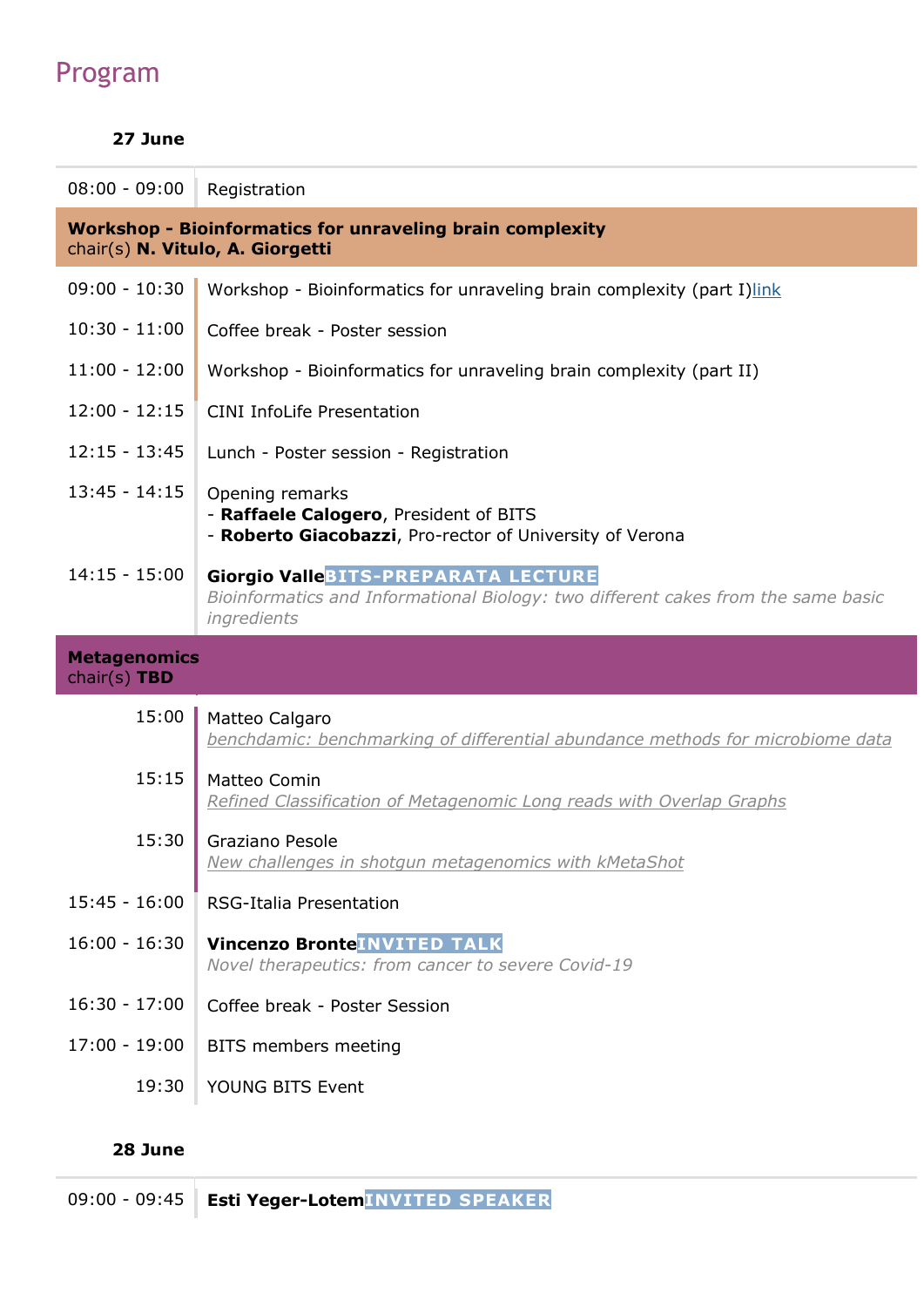# Program

## 27 June

| $08:00 - 09:00$                                                                                      | Registration                                                                                                                                   |  |
|------------------------------------------------------------------------------------------------------|------------------------------------------------------------------------------------------------------------------------------------------------|--|
| <b>Workshop - Bioinformatics for unraveling brain complexity</b><br>chair(s) N. Vitulo, A. Giorgetti |                                                                                                                                                |  |
| $09:00 - 10:30$                                                                                      | Workshop - Bioinformatics for unraveling brain complexity (part I)link                                                                         |  |
| $10:30 - 11:00$                                                                                      | Coffee break - Poster session                                                                                                                  |  |
| $11:00 - 12:00$                                                                                      | Workshop - Bioinformatics for unraveling brain complexity (part II)                                                                            |  |
| $12:00 - 12:15$                                                                                      | <b>CINI InfoLife Presentation</b>                                                                                                              |  |
| $12:15 - 13:45$                                                                                      | Lunch - Poster session - Registration                                                                                                          |  |
| $13:45 - 14:15$                                                                                      | Opening remarks<br>- Raffaele Calogero, President of BITS<br>- Roberto Giacobazzi, Pro-rector of University of Verona                          |  |
| $14:15 - 15:00$                                                                                      | <b>Giorgio ValleBITS-PREPARATA LECTURE</b><br>Bioinformatics and Informational Biology: two different cakes from the same basic<br>ingredients |  |
|                                                                                                      |                                                                                                                                                |  |
| <b>Metagenomics</b><br>chair(s) $TBD$                                                                |                                                                                                                                                |  |
| 15:00                                                                                                | Matteo Calgaro<br>benchdamic: benchmarking of differential abundance methods for microbiome data                                               |  |
| 15:15                                                                                                | Matteo Comin<br>Refined Classification of Metagenomic Long reads with Overlap Graphs                                                           |  |
| 15:30                                                                                                | Graziano Pesole<br>New challenges in shotgun metagenomics with kMetaShot                                                                       |  |
| $15:45 - 16:00$                                                                                      | RSG-Italia Presentation                                                                                                                        |  |
| $16:00 - 16:30$                                                                                      | <b>Vincenzo BronteINVITED TALK</b><br>Novel therapeutics: from cancer to severe Covid-19                                                       |  |
| $16:30 - 17:00$                                                                                      | Coffee break - Poster Session                                                                                                                  |  |
| $17:00 - 19:00$                                                                                      | BITS members meeting                                                                                                                           |  |

### 28 June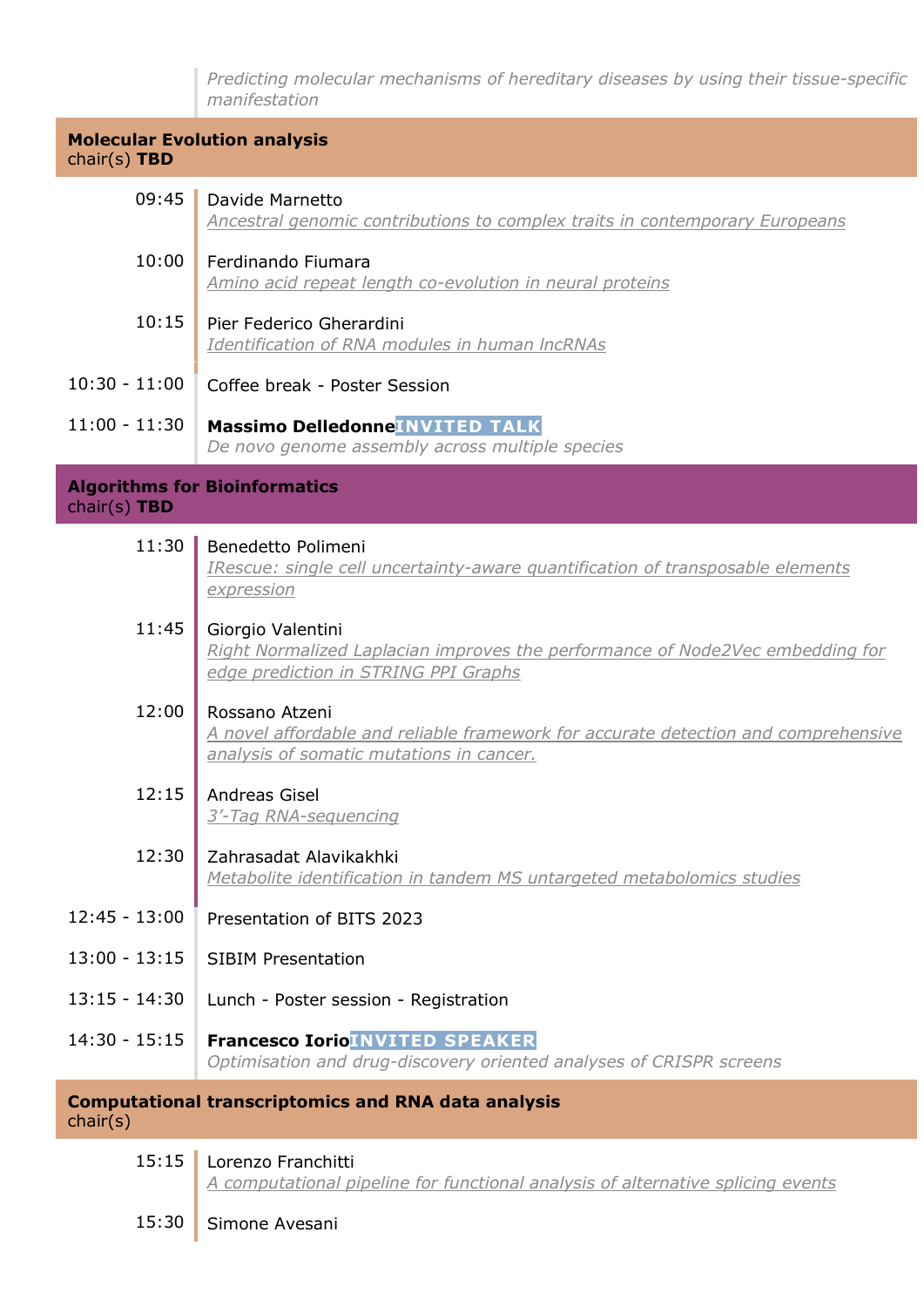Predicting molecular mechanisms of hereditary diseases by using their tissue-specific manifestation

Molecular Evolution analysis chair(s) TBD

| 09:45           | Davide Marnetto<br>Ancestral genomic contributions to complex traits in contemporary Europeans                                                   |
|-----------------|--------------------------------------------------------------------------------------------------------------------------------------------------|
| 10:00           | Ferdinando Fiumara<br>Amino acid repeat length co-evolution in neural proteins                                                                   |
| 10:15           | Pier Federico Gherardini<br>Identification of RNA modules in human IncRNAs                                                                       |
| $10:30 - 11:00$ | Coffee break - Poster Session                                                                                                                    |
| $11:00 - 11:30$ | <b>Massimo Delledonne INVITED TALK</b><br>De novo genome assembly across multiple species                                                        |
| chair(s) TBD    | <b>Algorithms for Bioinformatics</b>                                                                                                             |
| 11:30           | Benedetto Polimeni<br>IRescue: single cell uncertainty-aware quantification of transposable elements<br>expression                               |
| 11:45           | Giorgio Valentini<br>Right Normalized Laplacian improves the performance of Node2Vec embedding for<br>edge prediction in STRING PPI Graphs       |
| 12:00           | Rossano Atzeni<br>A novel affordable and reliable framework for accurate detection and comprehensive<br>analysis of somatic mutations in cancer. |
| 12:15           | <b>Andreas Gisel</b><br>3'-Tag RNA-sequencing                                                                                                    |
| 12:30           | Zahrasadat Alavikakhki<br>Metabolite identification in tandem MS untargeted metabolomics studies                                                 |
| $12:45 - 13:00$ | Presentation of BITS 2023                                                                                                                        |
| $13:00 - 13:15$ | <b>SIBIM Presentation</b>                                                                                                                        |
| $13:15 - 14:30$ | Lunch - Poster session - Registration                                                                                                            |
| $14:30 - 15:15$ | <b>Francesco Iorio INVITED SPEAKER</b><br>Optimisation and drug-discovery oriented analyses of CRISPR screens                                    |
|                 | <b>Computational transcriptomics and RNA data analysis</b>                                                                                       |

chair(s)

Alg chai

| 15:15   Lorenzo Franchitti                                                      |
|---------------------------------------------------------------------------------|
| A computational pipeline for functional analysis of alternative splicing events |

15:30 Simone Avesani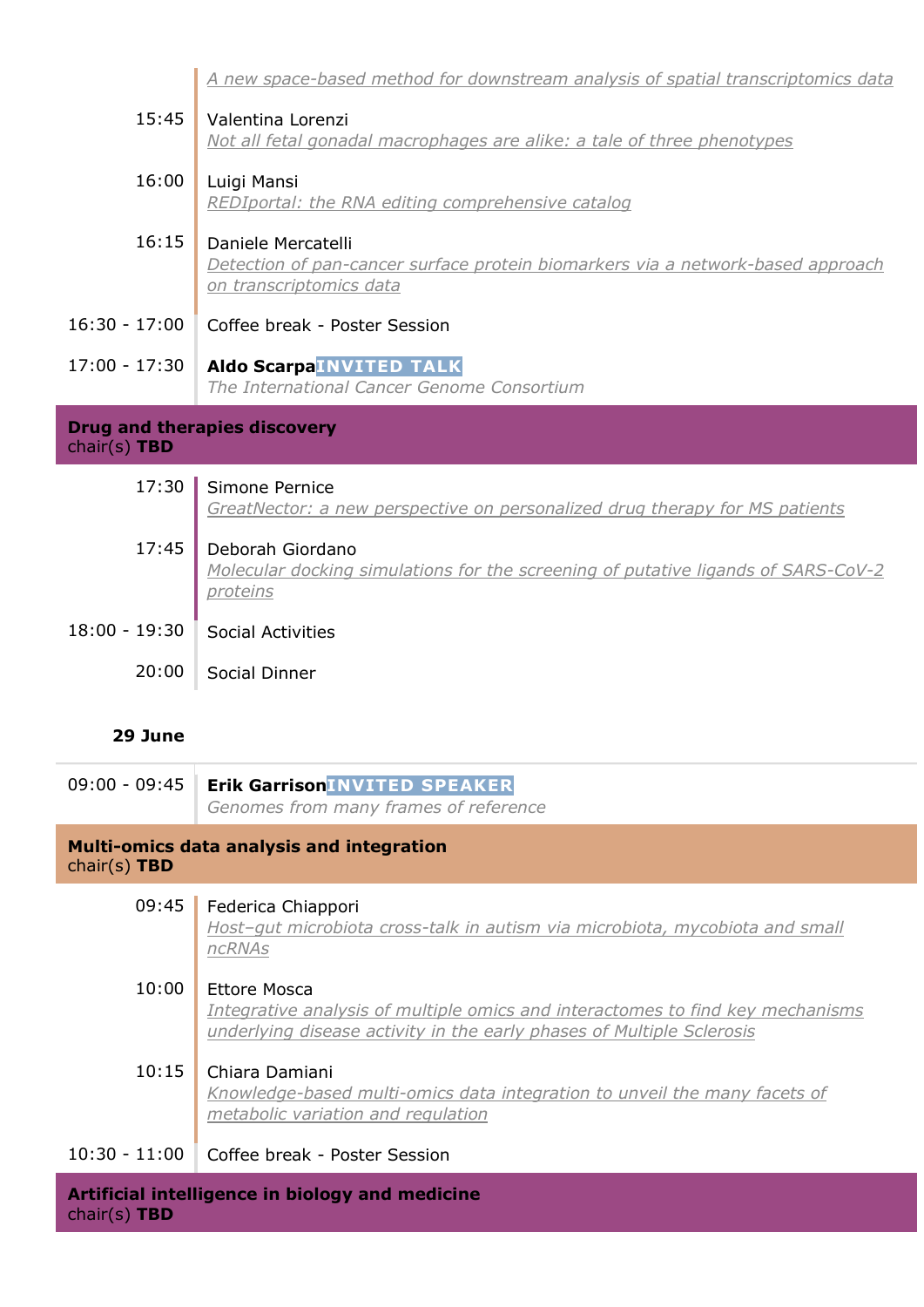A new space-based method for downstream analysis of spatial transcriptomics data

| 15:45    | Valentina Lorenzi<br>Not all fetal gonadal macrophages are alike: a tale of three phenotypes                                     |
|----------|----------------------------------------------------------------------------------------------------------------------------------|
| 16:00    | Luigi Mansi<br>REDIportal: the RNA editing comprehensive catalog                                                                 |
| 16:15    | Daniele Mercatelli<br>Detection of pan-cancer surface protein biomarkers via a network-based approach<br>on transcriptomics data |
| - 17:00  | Coffee break - Poster Session                                                                                                    |
| $-17:30$ | <b>Aldo ScarpaINVITED TALK</b><br>The International Cancer Genome Consortium                                                     |

Drug and therapies discovery

| chair(s) $TBD$ |  |
|----------------|--|

16:30

 $17:00$ 

| 17:30           | Simone Pernice<br>GreatNector: a new perspective on personalized drug therapy for MS patients                     |
|-----------------|-------------------------------------------------------------------------------------------------------------------|
| 17:45           | Deborah Giordano<br>Molecular docking simulations for the screening of putative ligands of SARS-CoV-2<br>proteins |
| $18:00 - 19:30$ | <b>Social Activities</b>                                                                                          |
| 20:00           | Social Dinner                                                                                                     |

#### 29 June

09:00 - 09:45 | Erik Garrison INVITED SPEAKER Genomes from many frames of reference

#### Multi-omics data analysis and integration chair(s) TBD

| 09:45           | Federica Chiappori<br>Host-gut microbiota cross-talk in autism via microbiota, mycobiota and small<br>ncRNAs                                            |
|-----------------|---------------------------------------------------------------------------------------------------------------------------------------------------------|
| 10:00           | Ettore Mosca                                                                                                                                            |
|                 | Integrative analysis of multiple omics and interactomes to find key mechanisms<br>underlying disease activity in the early phases of Multiple Sclerosis |
| 10:15           | Chiara Damiani                                                                                                                                          |
|                 | Knowledge-based multi-omics data integration to unveil the many facets of                                                                               |
|                 | metabolic variation and regulation                                                                                                                      |
| $10:30 - 11:00$ | Coffee break - Poster Session                                                                                                                           |

Artificial intelligence in biology and medicine chair(s) TBD